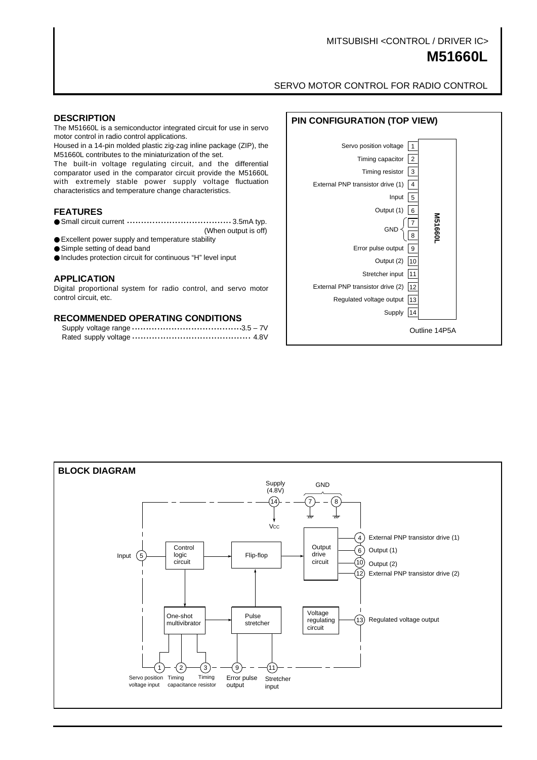# MITSUBISHI <CONTROL / DRIVER IC>

# **M51660L**

SERVO MOTOR CONTROL FOR RADIO CONTROL

The M51660L is a semiconductor integrated circuit for use in servo motor control in radio control applications.

Housed in a 14-pin molded plastic zig-zag inline package (ZIP), the M51660L contributes to the miniaturization of the set.

The built-in voltage regulating circuit, and the differential comparator used in the comparator circuit provide the M51660L with extremely stable power supply voltage fluctuation characteristics and temperature change characteristics.

#### **FEATURES**

- Small circuit current ……………………………………… 3.5mA typ.
- (When output is off) ● Excellent power supply and temperature stability
- Simple setting of dead band
- Includes protection circuit for continuous "H" level input

#### **APPLICATION**

Digital proportional system for radio control, and servo motor control circuit, etc.

#### **RECOMMENDED OPERATING CONDITIONS**



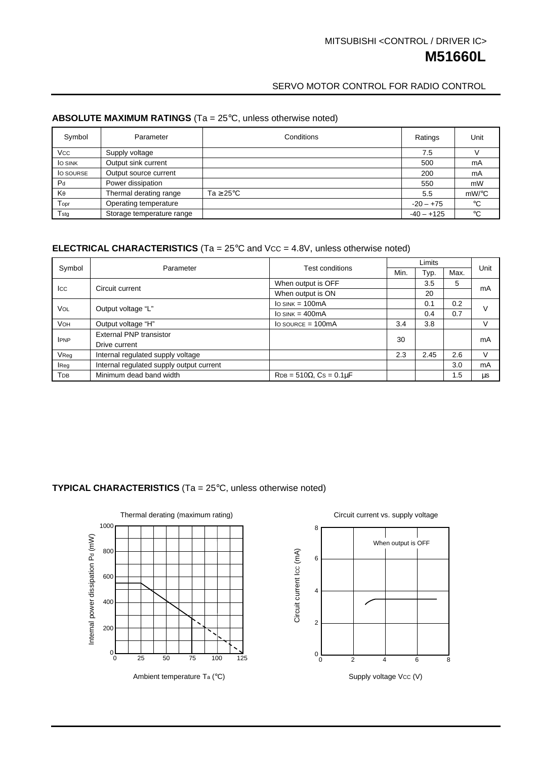# **M51660L** MITSUBISHI <CONTROL / DRIVER IC>

## SERVO MOTOR CONTROL FOR RADIO CONTROL

# **ABSOLUTE MAXIMUM RATINGS** (Ta = 25°C, unless otherwise noted)

| Symbol           | Parameter                 | Conditions            | Ratings      | Unit         |
|------------------|---------------------------|-----------------------|--------------|--------------|
| Vcc              | Supply voltage            |                       | 7.5          |              |
| <b>JO SINK</b>   | Output sink current       |                       | 500          | mA           |
| <b>O</b> SOURSE  | Output source current     |                       | 200          | mA           |
| P <sub>d</sub>   | Power dissipation         |                       | 550          | mW           |
| $K_{\theta}$     | Thermal derating range    | $Ta \geq 25^{\circ}C$ | 5.5          | $mW$ /°C     |
| Topr             | Operating temperature     |                       | $-20 - +75$  | $^{\circ}C$  |
| T <sub>stg</sub> | Storage temperature range |                       | $-40 - +125$ | $^{\circ}$ C |

## **ELECTRICAL CHARACTERISTICS** (Ta = 25°C and Vcc = 4.8V, unless otherwise noted)

| Symbol      | Parameter                                | <b>Test conditions</b>              | Limits |      |      | Unit   |
|-------------|------------------------------------------|-------------------------------------|--------|------|------|--------|
|             |                                          |                                     | Min.   | Typ. | Max. |        |
| Icc         | Circuit current                          | When output is OFF                  |        | 3.5  | 5    | mA     |
|             |                                          | When output is ON                   |        | 20   |      |        |
| <b>VOL</b>  | Output voltage "L"                       | $I_{O}$ SINK = 100 $mA$             |        | 0.1  | 0.2  | V      |
|             |                                          | $\log_{10}$ SINK = 400mA            |        | 0.4  | 0.7  |        |
| <b>VOH</b>  | Output voltage "H"                       | $Io$ SOURCE = 100mA                 | 3.4    | 3.8  |      | $\vee$ |
| <b>IPNP</b> | <b>External PNP transistor</b>           |                                     | 30     |      |      | mA     |
|             | Drive current                            |                                     |        |      |      |        |
| VReq        | Internal regulated supply voltage        |                                     | 2.3    | 2.45 | 2.6  | V      |
| <b>Reg</b>  | Internal regulated supply output current |                                     |        |      | 3.0  | mA     |
| Трв         | Minimum dead band width                  | $RDB = 510\Omega$ , $Cs = 0.1\mu F$ |        |      | 1.5  | μs     |

## **TYPICAL CHARACTERISTICS** (Ta = 25°C, unless otherwise noted)



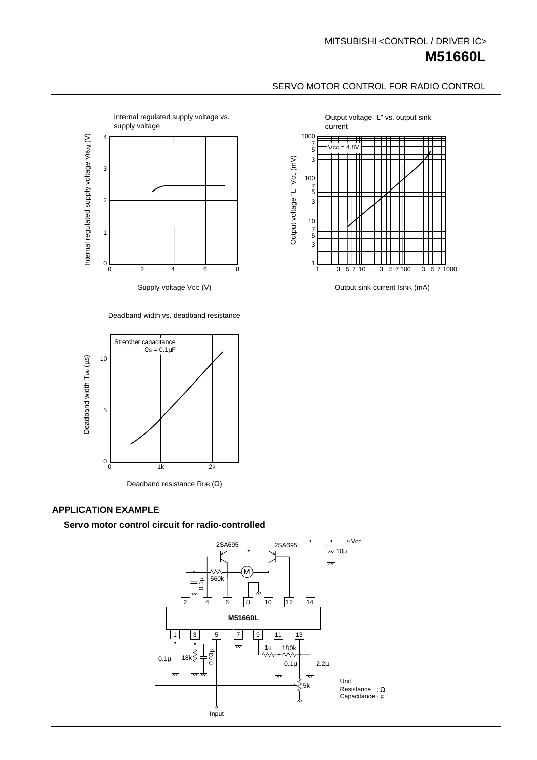# **M51660L** MITSUBISHI <CONTROL / DRIVER IC>

# SERVO MOTOR CONTROL FOR RADIO CONTROL



#### Deadband width vs. deadband resistance



Deadband resistance RDB (Ω)

## **APPLICATION EXAMPLE**

#### **Servo motor control circuit for radio-controlled**





Output sink current ISINK (mA)